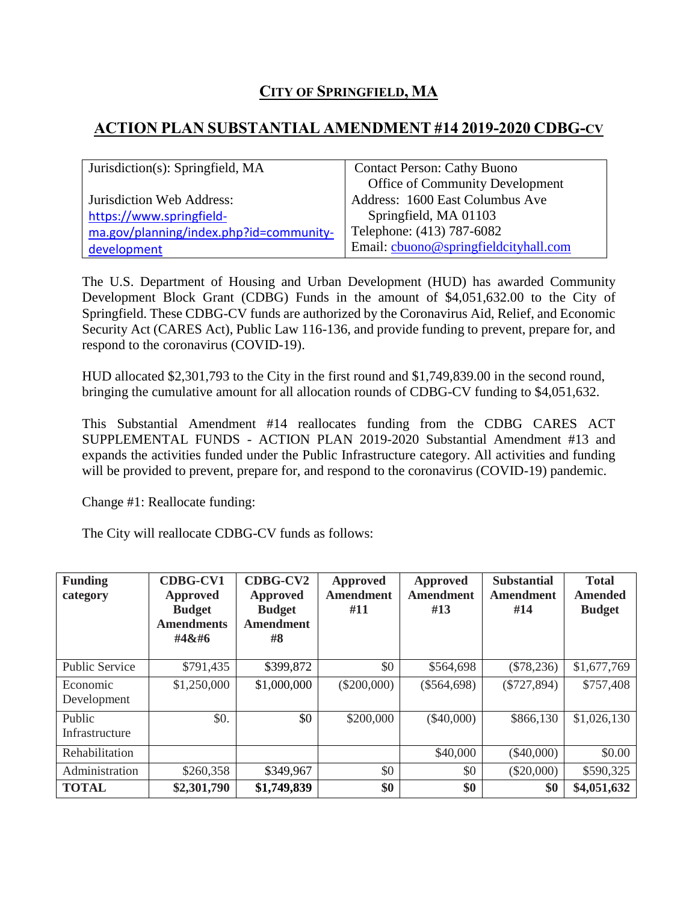## **CITY OF SPRINGFIELD, MA**

## **ACTION PLAN SUBSTANTIAL AMENDMENT #14 2019-2020 CDBG-CV**

| Jurisdiction(s): Springfield, MA        | <b>Contact Person: Cathy Buono</b>    |  |  |
|-----------------------------------------|---------------------------------------|--|--|
|                                         | Office of Community Development       |  |  |
| Jurisdiction Web Address:               | Address: 1600 East Columbus Ave       |  |  |
| https://www.springfield-                | Springfield, MA 01103                 |  |  |
| ma.gov/planning/index.php?id=community- | Telephone: (413) 787-6082             |  |  |
| development                             | Email: cbuono@springfieldcityhall.com |  |  |

The U.S. Department of Housing and Urban Development (HUD) has awarded Community Development Block Grant (CDBG) Funds in the amount of \$4,051,632.00 to the City of Springfield. These CDBG-CV funds are authorized by the Coronavirus Aid, Relief, and Economic Security Act (CARES Act), Public Law 116-136, and provide funding to prevent, prepare for, and respond to the coronavirus (COVID-19).

HUD allocated \$2,301,793 to the City in the first round and \$1,749,839.00 in the second round, bringing the cumulative amount for all allocation rounds of CDBG-CV funding to \$4,051,632.

This Substantial Amendment #14 reallocates funding from the CDBG CARES ACT SUPPLEMENTAL FUNDS - ACTION PLAN 2019-2020 Substantial Amendment #13 and expands the activities funded under the Public Infrastructure category. All activities and funding will be provided to prevent, prepare for, and respond to the coronavirus (COVID-19) pandemic.

Change #1: Reallocate funding:

The City will reallocate CDBG-CV funds as follows:

| <b>Funding</b><br>category | <b>CDBG-CV1</b><br>Approved<br><b>Budget</b><br><b>Amendments</b><br>#4 | CDBG-CV2<br>Approved<br><b>Budget</b><br><b>Amendment</b><br>#8 | <b>Approved</b><br><b>Amendment</b><br>#11 | Approved<br><b>Amendment</b><br>#13 | <b>Substantial</b><br><b>Amendment</b><br>#14 | <b>Total</b><br>Amended<br><b>Budget</b> |
|----------------------------|--------------------------------------------------------------------------|-----------------------------------------------------------------|--------------------------------------------|-------------------------------------|-----------------------------------------------|------------------------------------------|
| <b>Public Service</b>      | \$791,435                                                                | \$399,872                                                       | \$0                                        | \$564,698                           | $(\$78,236)$                                  | \$1,677,769                              |
| Economic<br>Development    | \$1,250,000                                                              | \$1,000,000                                                     | $(\$200,000)$                              | $(\$564,698)$                       | $(\$727,894)$                                 | \$757,408                                |
| Public<br>Infrastructure   | \$0.                                                                     | \$0                                                             | \$200,000                                  | $(\$40,000)$                        | \$866,130                                     | \$1,026,130                              |
| Rehabilitation             |                                                                          |                                                                 |                                            | \$40,000                            | $(\$40,000)$                                  | \$0.00                                   |
| Administration             | \$260,358                                                                | \$349,967                                                       | \$0                                        | \$0                                 | $(\$20,000)$                                  | \$590,325                                |
| <b>TOTAL</b>               | \$2,301,790                                                              | \$1,749,839                                                     | \$0                                        | \$0                                 | \$0                                           | \$4,051,632                              |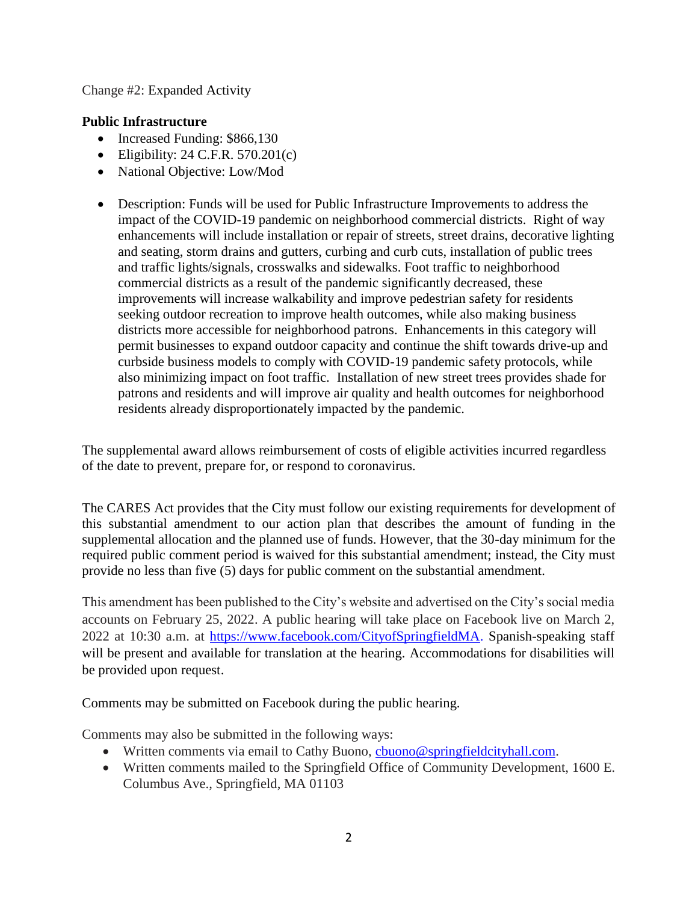## Change #2: Expanded Activity

## **Public Infrastructure**

- Increased Funding: \$866,130
- Eligibility:  $24$  C.F.R.  $570.201(c)$
- National Objective: Low/Mod
- Description: Funds will be used for Public Infrastructure Improvements to address the impact of the COVID-19 pandemic on neighborhood commercial districts. Right of way enhancements will include installation or repair of streets, street drains, decorative lighting and seating, storm drains and gutters, curbing and curb cuts, installation of public trees and traffic lights/signals, crosswalks and sidewalks. Foot traffic to neighborhood commercial districts as a result of the pandemic significantly decreased, these improvements will increase walkability and improve pedestrian safety for residents seeking outdoor recreation to improve health outcomes, while also making business districts more accessible for neighborhood patrons. Enhancements in this category will permit businesses to expand outdoor capacity and continue the shift towards drive-up and curbside business models to comply with COVID-19 pandemic safety protocols, while also minimizing impact on foot traffic. Installation of new street trees provides shade for patrons and residents and will improve air quality and health outcomes for neighborhood residents already disproportionately impacted by the pandemic.

The supplemental award allows reimbursement of costs of eligible activities incurred regardless of the date to prevent, prepare for, or respond to coronavirus.

The CARES Act provides that the City must follow our existing requirements for development of this substantial amendment to our action plan that describes the amount of funding in the supplemental allocation and the planned use of funds. However, that the 30-day minimum for the required public comment period is waived for this substantial amendment; instead, the City must provide no less than five (5) days for public comment on the substantial amendment.

This amendment has been published to the City's website and advertised on the City's social media accounts on February 25, 2022. A public hearing will take place on Facebook live on March 2, 2022 at 10:30 a.m. at [https://www.facebook.com/CityofSpringfieldMA.](https://www.facebook.com/CityofSpringfieldMA) Spanish-speaking staff will be present and available for translation at the hearing. Accommodations for disabilities will be provided upon request.

Comments may be submitted on Facebook during the public hearing.

Comments may also be submitted in the following ways:

- Written comments via email to Cathy Buono, chuono@springfieldcityhall.com.
- Written comments mailed to the Springfield Office of Community Development, 1600 E. Columbus Ave., Springfield, MA 01103